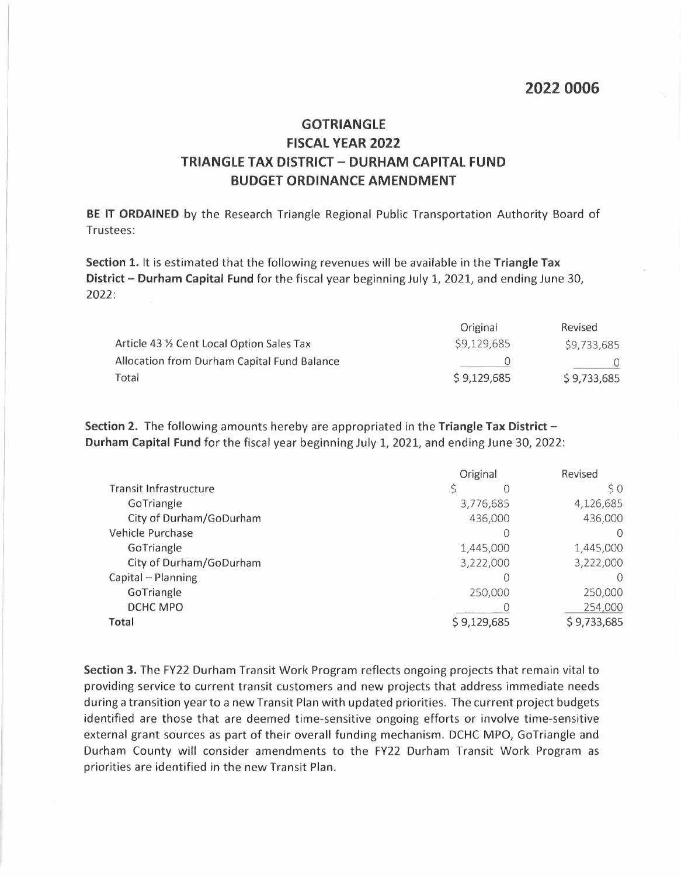## **GOTRIANGLE FISCAL VEAR 2022 TRIANGLE TAX DISTRICT- DURHAM CAPITAL FUND BUDGET ORDINANCE AMENDMENT**

**BE IT ORDAINED** by the Research Triangle Regional Public Transportation Authority Board of Trustees:

**Section 1.** It is estimated that the following revenues will be available in the **Triangle Tax District - Durham Capital Fund** for the fiscal year beginning July 1, 2021, and ending June 30, 2022:

|                                             | Original    | <b>Revised</b> |
|---------------------------------------------|-------------|----------------|
| Article 43 % Cent Local Option Sales Tax    | \$9,129,685 | \$9,733,685    |
| Allocation from Durham Capital Fund Balance |             |                |
| Total                                       | \$9,129,685 | \$9,733,685    |

**Section 2.** The following amounts hereby are appropriated in the **Triangle Tax District - Durham Capital Fund** for the fiscal year beginning July 1, 2021, and ending June 30, 2022:

|                         | Original    | Revised     |
|-------------------------|-------------|-------------|
| Transit Infrastructure  | S           | S O         |
| GoTriangle              | 3,776,685   | 4,126,685   |
| City of Durham/GoDurham | 436,000     | 436,000     |
| Vehicle Purchase        |             |             |
| GoTriangle              | 1,445,000   | 1,445,000   |
| City of Durham/GoDurham | 3,222,000   | 3,222,000   |
| Capital - Planning      |             |             |
| GoTriangle              | 250,000     | 250,000     |
| DCHC MPO                |             | 254,000     |
| Total                   | \$9,129,685 | \$9,733,685 |

**Section 3.** The FY22 Durham Transit Work Program reflects ongoing projects that remain vital to providing service to current transit customers and new projects that address immediate needs during a transition year to a new Transit Plan with updated priorities. The current project budgets identified are those that are deemed time-sensitive ongoing efforts or involve time-sensitive external grant sources as part of their overall funding mechanism. DCHC MPO, GoTriangle and Durham County will consider amendments to the FY22 Durham Transit Work Program as priorities are identified in the new Transit Plan.